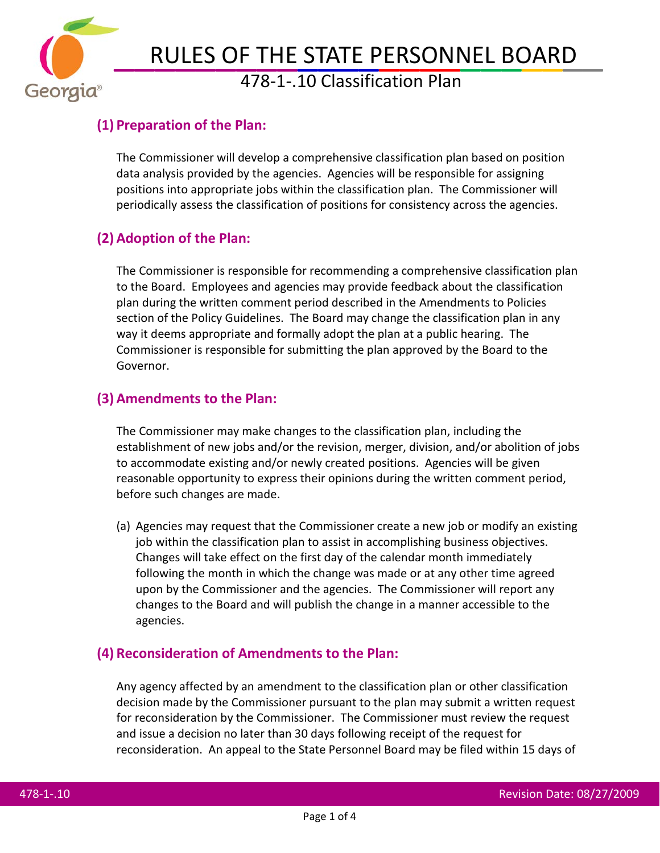

# RULES OF THE STATE PERSONNEL BOARD<br>478-1-.10 Classification Plan

#### **(1) Preparation of the Plan:**

The Commissioner will develop a comprehensive classification plan based on position data analysis provided by the agencies. Agencies will be responsible for assigning positions into appropriate jobs within the classification plan. The Commissioner will periodically assess the classification of positions for consistency across the agencies.

#### **(2) Adoption of the Plan:**

The Commissioner is responsible for recommending a comprehensive classification plan to the Board. Employees and agencies may provide feedback about the classification plan during the written comment period described in the Amendments to Policies section of the Policy Guidelines. The Board may change the classification plan in any way it deems appropriate and formally adopt the plan at a public hearing. The Commissioner is responsible for submitting the plan approved by the Board to the Governor.

#### **(3) Amendments to the Plan:**

The Commissioner may make changes to the classification plan, including the establishment of new jobs and/or the revision, merger, division, and/or abolition of jobs to accommodate existing and/or newly created positions. Agencies will be given reasonable opportunity to express their opinions during the written comment period, before such changes are made.

(a) Agencies may request that the Commissioner create a new job or modify an existing job within the classification plan to assist in accomplishing business objectives. Changes will take effect on the first day of the calendar month immediately following the month in which the change was made or at any other time agreed upon by the Commissioner and the agencies. The Commissioner will report any changes to the Board and will publish the change in a manner accessible to the agencies.

#### **(4) Reconsideration of Amendments to the Plan:**

Any agency affected by an amendment to the classification plan or other classification decision made by the Commissioner pursuant to the plan may submit a written request for reconsideration by the Commissioner. The Commissioner must review the request and issue a decision no later than 30 days following receipt of the request for reconsideration. An appeal to the State Personnel Board may be filed within 15 days of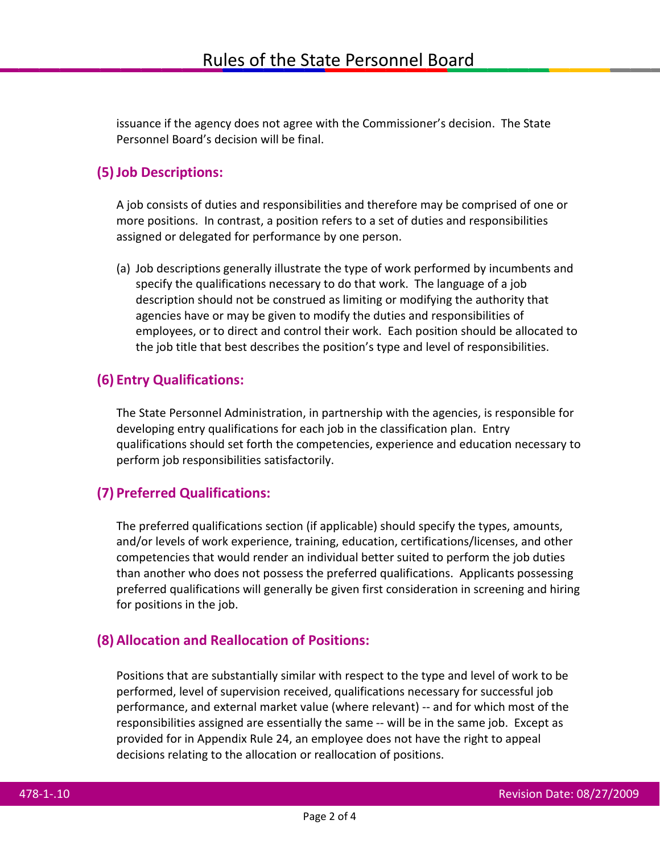issuance if the agency does not agree with the Commissioner's decision. The State Personnel Board's decision will be final.

### **(5)Job Descriptions:**

A job consists of duties and responsibilities and therefore may be comprised of one or more positions. In contrast, a position refers to a set of duties and responsibilities assigned or delegated for performance by one person.

(a) Job descriptions generally illustrate the type of work performed by incumbents and specify the qualifications necessary to do that work. The language of a job description should not be construed as limiting or modifying the authority that agencies have or may be given to modify the duties and responsibilities of employees, or to direct and control their work. Each position should be allocated to the job title that best describes the position's type and level of responsibilities.

### **(6) Entry Qualifications:**

The State Personnel Administration, in partnership with the agencies, is responsible for developing entry qualifications for each job in the classification plan. Entry qualifications should set forth the competencies, experience and education necessary to perform job responsibilities satisfactorily.

## **(7) Preferred Qualifications:**

The preferred qualifications section (if applicable) should specify the types, amounts, and/or levels of work experience, training, education, certifications/licenses, and other competencies that would render an individual better suited to perform the job duties than another who does not possess the preferred qualifications. Applicants possessing preferred qualifications will generally be given first consideration in screening and hiring for positions in the job.

### **(8) Allocation and Reallocation of Positions:**

Positions that are substantially similar with respect to the type and level of work to be performed, level of supervision received, qualifications necessary for successful job performance, and external market value (where relevant) -- and for which most of the responsibilities assigned are essentially the same -- will be in the same job. Except as provided for in Appendix Rule 24, an employee does not have the right to appeal decisions relating to the allocation or reallocation of positions.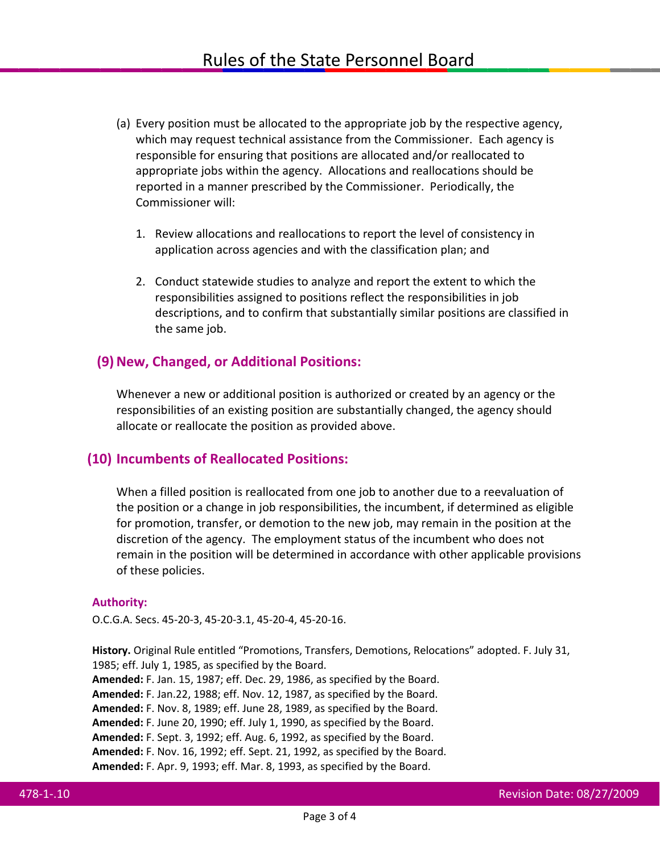- (a) Every position must be allocated to the appropriate job by the respective agency, which may request technical assistance from the Commissioner. Each agency is responsible for ensuring that positions are allocated and/or reallocated to appropriate jobs within the agency. Allocations and reallocations should be reported in a manner prescribed by the Commissioner. Periodically, the Commissioner will:
	- 1. Review allocations and reallocations to report the level of consistency in application across agencies and with the classification plan; and
	- 2. Conduct statewide studies to analyze and report the extent to which the responsibilities assigned to positions reflect the responsibilities in job descriptions, and to confirm that substantially similar positions are classified in the same job.

#### **(9)New, Changed, or Additional Positions:**

Whenever a new or additional position is authorized or created by an agency or the responsibilities of an existing position are substantially changed, the agency should allocate or reallocate the position as provided above.

#### **(10) Incumbents of Reallocated Positions:**

When a filled position is reallocated from one job to another due to a reevaluation of the position or a change in job responsibilities, the incumbent, if determined as eligible for promotion, transfer, or demotion to the new job, may remain in the position at the discretion of the agency. The employment status of the incumbent who does not remain in the position will be determined in accordance with other applicable provisions of these policies.

#### **Authority:**

O.C.G.A. Secs. 45-20-3, 45-20-3.1, 45-20-4, 45-20-16.

**History.** Original Rule entitled "Promotions, Transfers, Demotions, Relocations" adopted. F. July 31, 1985; eff. July 1, 1985, as specified by the Board. **Amended:** F. Jan. 15, 1987; eff. Dec. 29, 1986, as specified by the Board. **Amended:** F. Jan.22, 1988; eff. Nov. 12, 1987, as specified by the Board. **Amended:** F. Nov. 8, 1989; eff. June 28, 1989, as specified by the Board.

**Amended:** F. June 20, 1990; eff. July 1, 1990, as specified by the Board.

**Amended:** F. Sept. 3, 1992; eff. Aug. 6, 1992, as specified by the Board.

**Amended:** F. Nov. 16, 1992; eff. Sept. 21, 1992, as specified by the Board.

**Amended:** F. Apr. 9, 1993; eff. Mar. 8, 1993, as specified by the Board.